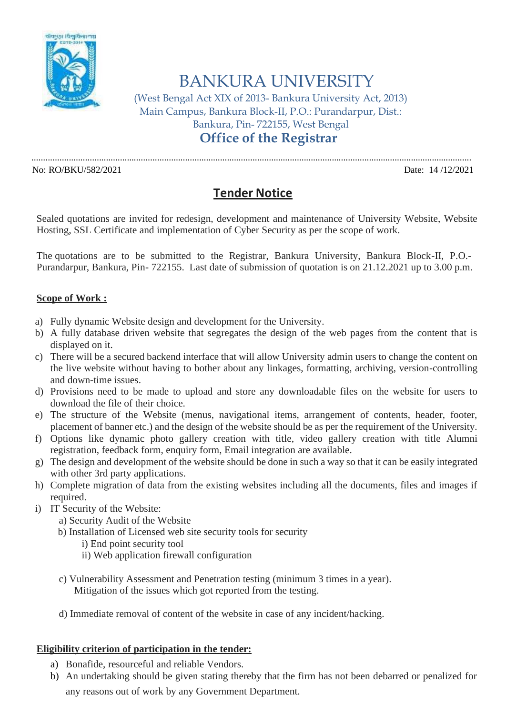

BANKURA UNIVERSITY

(West Bengal Act XIX of 2013- Bankura University Act, 2013) Main Campus, Bankura Block-II, P.O.: Purandarpur, Dist.: Bankura, Pin- 722155, West Bengal **Office of the Registrar**

.............................................................................................................................................................................................

No: RO/BKU/582/2021 Date: 14 /12/2021

## **Tender Notice**

Sealed quotations are invited for redesign, development and maintenance of University Website, Website Hosting, SSL Certificate and implementation of Cyber Security as per the scope of work.

The quotations are to be submitted to the Registrar, Bankura University, Bankura Block-II, P.O.- Purandarpur, Bankura, Pin- 722155. Last date of submission of quotation is on 21.12.2021 up to 3.00 p.m.

## **Scope of Work :**

- a) Fully dynamic Website design and development for the University.
- b) A fully database driven website that segregates the design of the web pages from the content that is displayed on it.
- c) There will be a secured backend interface that will allow University admin users to change the content on the live website without having to bother about any linkages, formatting, archiving, version-controlling and down-time issues.
- d) Provisions need to be made to upload and store any downloadable files on the website for users to download the file of their choice.
- e) The structure of the Website (menus, navigational items, arrangement of contents, header, footer, placement of banner etc.) and the design of the website should be as per the requirement of the University.
- f) Options like dynamic photo gallery creation with title, video gallery creation with title Alumni registration, feedback form, enquiry form, Email integration are available.
- g) The design and development of the website should be done in such a way so that it can be easily integrated with other 3rd party applications.
- h) Complete migration of data from the existing websites including all the documents, files and images if required.
- i) IT Security of the Website:
	- a) Security Audit of the Website
	- b) Installation of Licensed web site security tools for security
		- i) End point security tool
		- ii) Web application firewall configuration
	- c) Vulnerability Assessment and Penetration testing (minimum 3 times in a year). Mitigation of the issues which got reported from the testing.
	- d) Immediate removal of content of the website in case of any incident/hacking.

## **Eligibility criterion of participation in the tender:**

- a) Bonafide, resourceful and reliable Vendors.
- b) An undertaking should be given stating thereby that the firm has not been debarred or penalized for any reasons out of work by any Government Department.